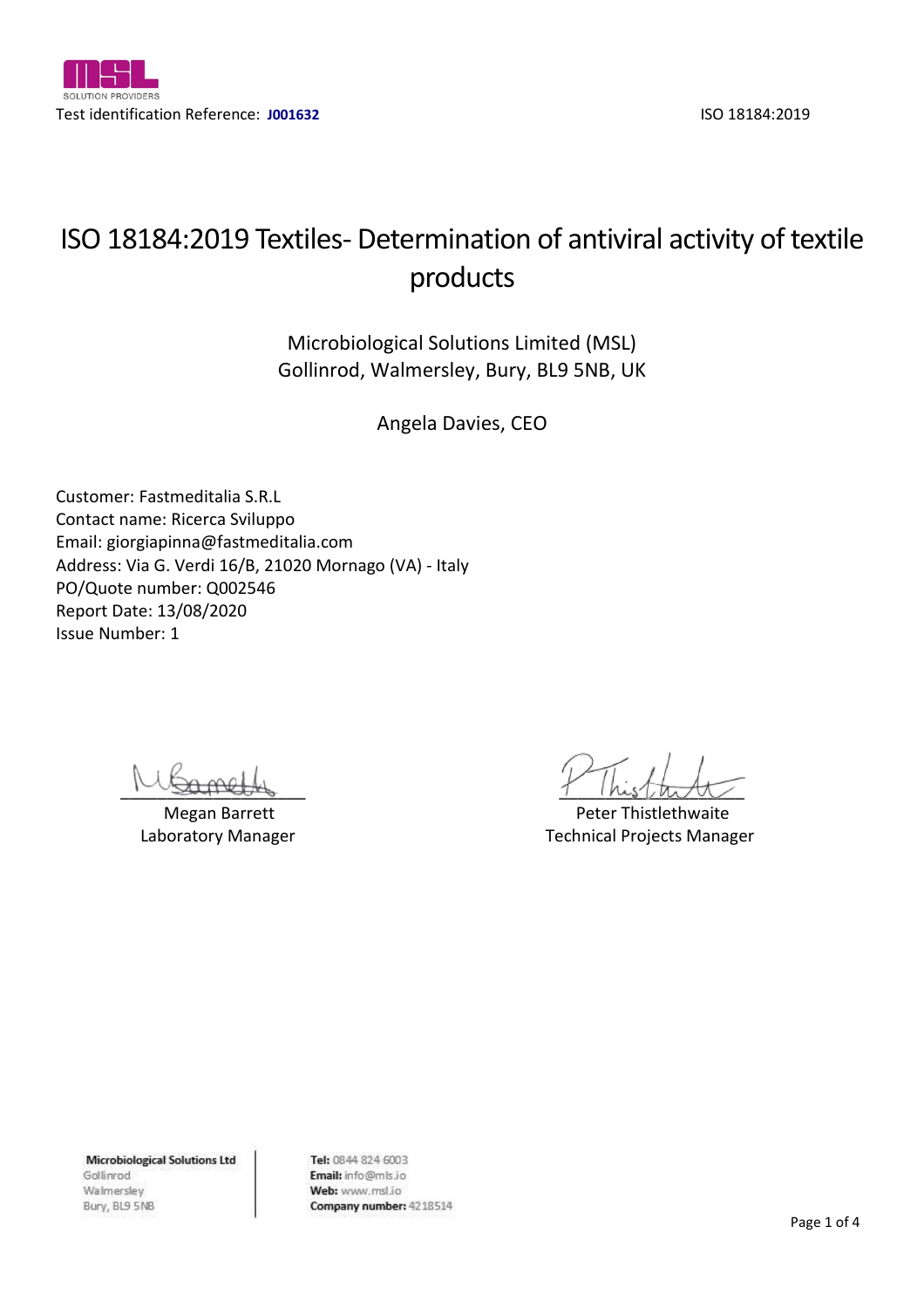

# ISO 18184:2019 Textiles- Determination of antiviral activity of textile products

Microbiological Solutions Limited (MSL) Gollinrod, Walmersley, Bury, BL9 5NB, UK

Angela Davies, CEO

Customer: Fastmeditalia S.R.L Contact name: Ricerca Sviluppo Email: giorgiapinna@fastmeditalia.com Address: Via G. Verdi 16/B, 21020 Mornago (VA) - Italy PO/Quote number: Q002546 Report Date: 13/08/2020 Issue Number: 1

 $1 - \log_{1000}$ 

Megan Barrett **Peter Thistlethwaite** Peter Thistlethwaite Laboratory Manager Technical Projects Manager

**Microbiological Solutions Ltd** Gollinrod Walmersley Bury, BL9 5NB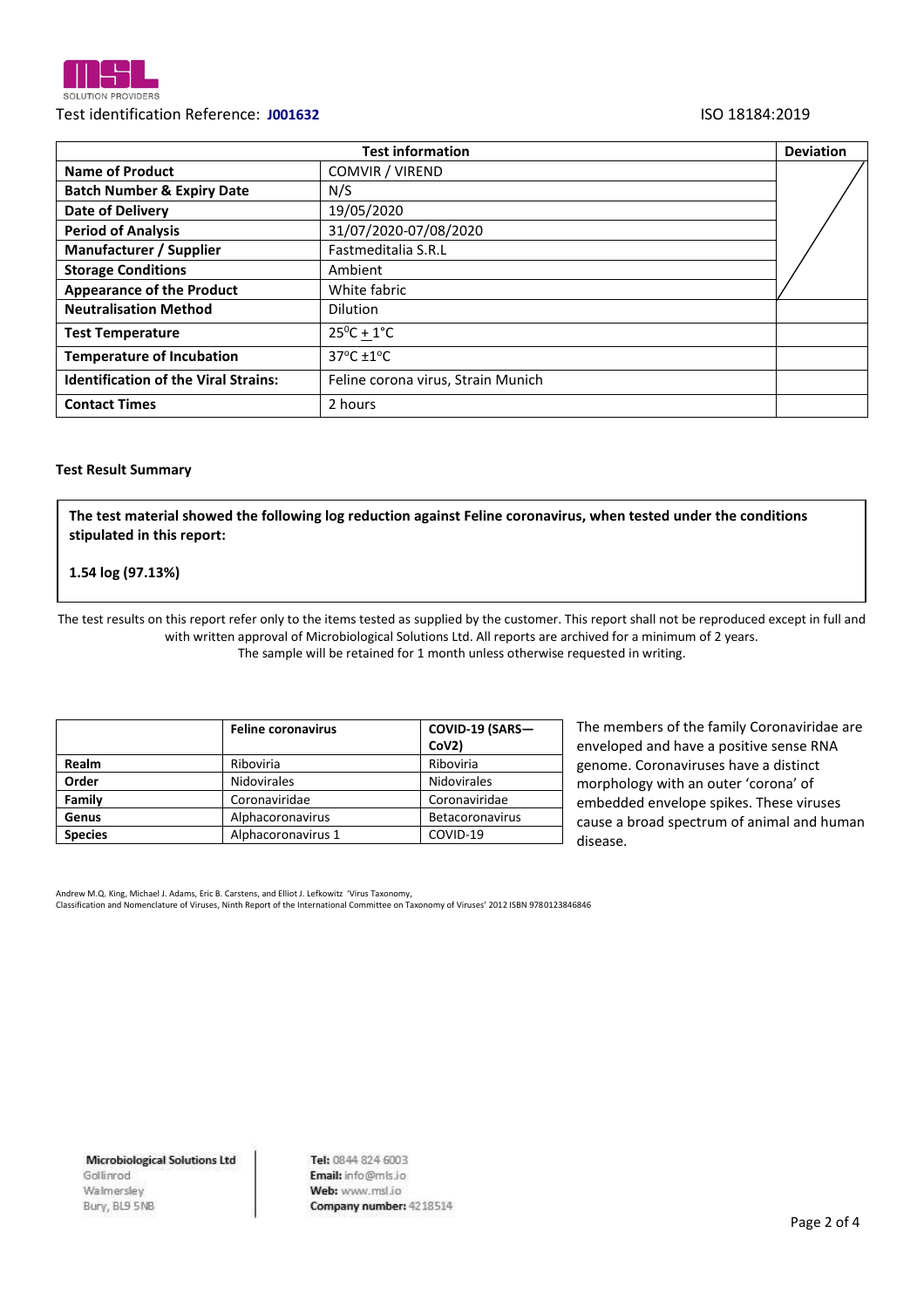

# Test identification Reference: **J001632** ISO 18184:2019

|                                             | <b>Deviation</b>                    |  |
|---------------------------------------------|-------------------------------------|--|
| <b>Name of Product</b>                      | COMVIR / VIREND                     |  |
| <b>Batch Number &amp; Expiry Date</b>       | N/S                                 |  |
| <b>Date of Delivery</b>                     | 19/05/2020                          |  |
| <b>Period of Analysis</b>                   | 31/07/2020-07/08/2020               |  |
| Manufacturer / Supplier                     | Fastmeditalia S.R.L                 |  |
| <b>Storage Conditions</b>                   | Ambient                             |  |
| <b>Appearance of the Product</b>            | White fabric                        |  |
| <b>Neutralisation Method</b>                | <b>Dilution</b>                     |  |
| <b>Test Temperature</b>                     | $25^0C + 1^{\circ}C$                |  |
| <b>Temperature of Incubation</b>            | $37^{\circ}$ C $\pm$ 1 $^{\circ}$ C |  |
| <b>Identification of the Viral Strains:</b> | Feline corona virus, Strain Munich  |  |
| <b>Contact Times</b>                        | 2 hours                             |  |

#### **Test Result Summary**

**The test material showed the following log reduction against Feline coronavirus, when tested under the conditions stipulated in this report:** 

### **1.54 log (97.13%)**

The test results on this report refer only to the items tested as supplied by the customer. This report shall not be reproduced except in full and with written approval of Microbiological Solutions Ltd. All reports are archived for a minimum of 2 years. The sample will be retained for 1 month unless otherwise requested in writing.

|                | <b>Feline coronavirus</b> | COVID-19 (SARS-        |  |
|----------------|---------------------------|------------------------|--|
|                |                           | CoV2)                  |  |
| Realm          | Riboviria                 | Riboviria              |  |
| Order          | <b>Nidovirales</b>        | <b>Nidovirales</b>     |  |
| Family         | Coronaviridae             | Coronaviridae          |  |
| Genus          | Alphacoronavirus          | <b>Betacoronavirus</b> |  |
| <b>Species</b> | Alphacoronavirus 1        | COVID-19               |  |

The members of the family Coronaviridae are enveloped and have a positive sense RNA genome. Coronaviruses have a distinct morphology with an outer 'corona' of embedded envelope spikes. These viruses cause a broad spectrum of animal and human disease.

Andrew M.Q. King, Michael J. Adams, Eric B. Carstens, and Elliot J. Lefkowitz 'Virus Taxonomy, Classification and Nomenclature of Viruses, Ninth Report of the International Committee on Taxonomy of Viruses' 2012 ISBN 9780123846846

**Microbiological Solutions Ltd** Gollinrod Walmersley Bury, BL9 5NB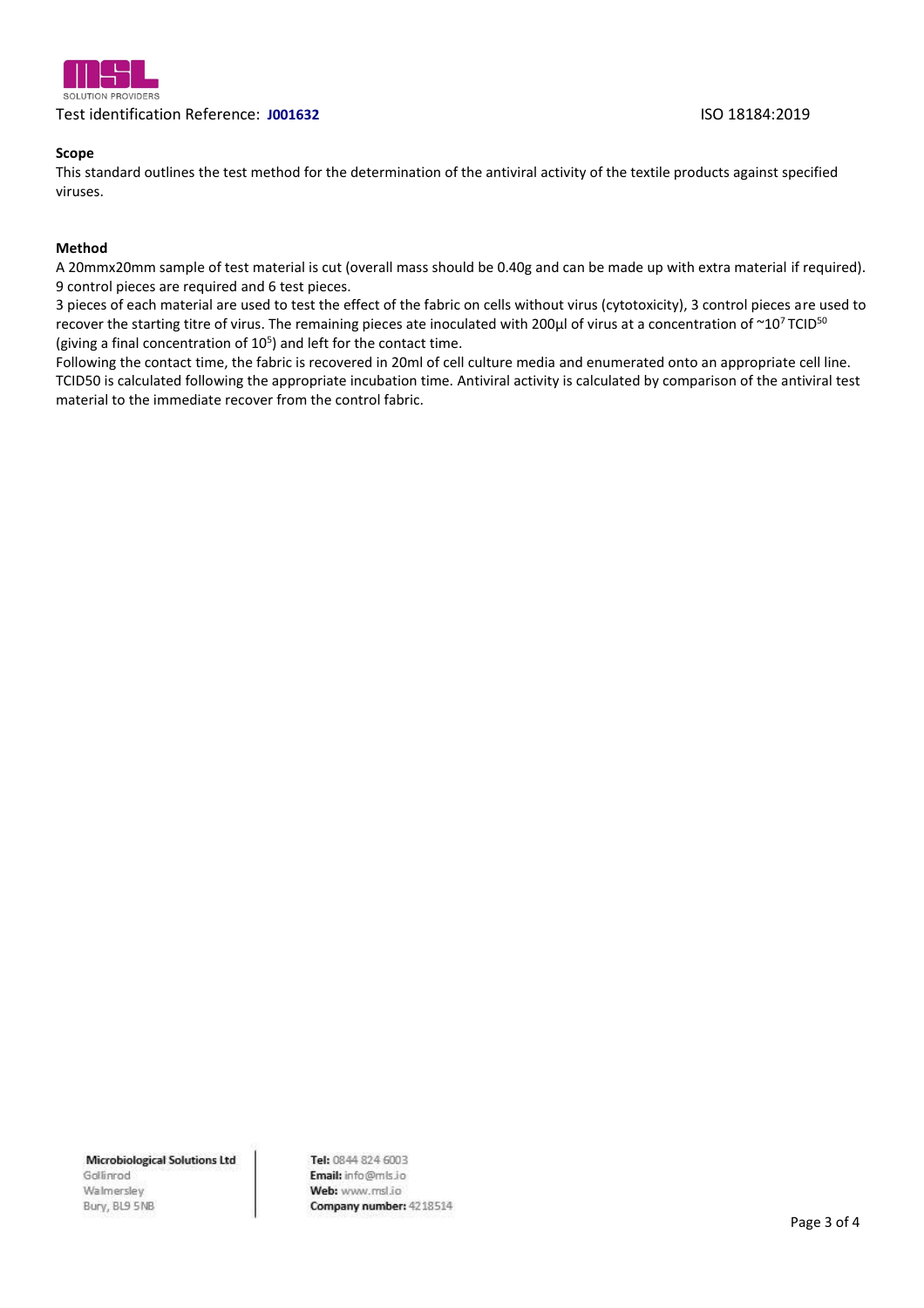

# Test identification Reference: **J001632** ISO 18184:2019

### **Scope**

This standard outlines the test method for the determination of the antiviral activity of the textile products against specified viruses.

#### **Method**

A 20mmx20mm sample of test material is cut (overall mass should be 0.40g and can be made up with extra material if required). 9 control pieces are required and 6 test pieces.

3 pieces of each material are used to test the effect of the fabric on cells without virus (cytotoxicity), 3 control pieces are used to recover the starting titre of virus. The remaining pieces ate inoculated with 200 $\mu$ l of virus at a concentration of  $\sim$ 10<sup>7</sup>TCID<sup>50</sup> (giving a final concentration of  $10<sup>5</sup>$ ) and left for the contact time.

Following the contact time, the fabric is recovered in 20ml of cell culture media and enumerated onto an appropriate cell line. TCID50 is calculated following the appropriate incubation time. Antiviral activity is calculated by comparison of the antiviral test material to the immediate recover from the control fabric.

**Microbiological Solutions Ltd** Gollinrod Walmersley Bury, BL9 5NB